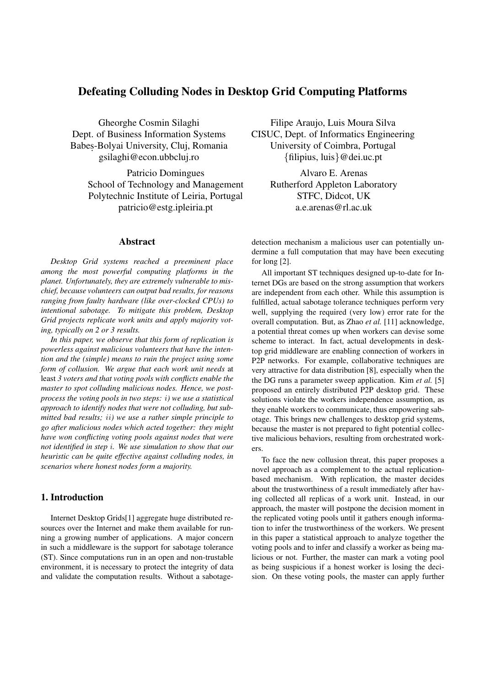# **Defeating Colluding Nodes in Desktop Grid Computing Platforms**

Gheorghe Cosmin Silaghi Dept. of Business Information Systems Babes.-Bolyai University, Cluj, Romania gsilaghi@econ.ubbcluj.ro

> Patricio Domingues School of Technology and Management Polytechnic Institute of Leiria, Portugal patricio@estg.ipleiria.pt

#### **Abstract**

*Desktop Grid systems reached a preeminent place among the most powerful computing platforms in the planet. Unfortunately, they are extremely vulnerable to mischief, because volunteers can output bad results, for reasons ranging from faulty hardware (like over-clocked CPUs) to intentional sabotage. To mitigate this problem, Desktop Grid projects replicate work units and apply majority voting, typically on 2 or 3 results.*

*In this paper, we observe that this form of replication is powerless against malicious volunteers that have the intention and the (simple) means to ruin the project using some form of collusion. We argue that each work unit needs* at least *3 voters and that voting pools with conflicts enable the master to spot colluding malicious nodes. Hence, we postprocess the voting pools in two steps:* i*) we use a statistical approach to identify nodes that were not colluding, but submitted bad results;* ii*) we use a rather simple principle to go after malicious nodes which acted together: they might have won conflicting voting pools against nodes that were not identified in step* i*. We use simulation to show that our heuristic can be quite effective against colluding nodes, in scenarios where honest nodes form a majority.*

# **1. Introduction**

Internet Desktop Grids[1] aggregate huge distributed resources over the Internet and make them available for running a growing number of applications. A major concern in such a middleware is the support for sabotage tolerance (ST). Since computations run in an open and non-trustable environment, it is necessary to protect the integrity of data and validate the computation results. Without a sabotage-

Filipe Araujo, Luis Moura Silva CISUC, Dept. of Informatics Engineering University of Coimbra, Portugal {filipius, luis}@dei.uc.pt

> Alvaro E. Arenas Rutherford Appleton Laboratory STFC, Didcot, UK a.e.arenas@rl.ac.uk

detection mechanism a malicious user can potentially undermine a full computation that may have been executing for long [2].

All important ST techniques designed up-to-date for Internet DGs are based on the strong assumption that workers are independent from each other. While this assumption is fulfilled, actual sabotage tolerance techniques perform very well, supplying the required (very low) error rate for the overall computation. But, as Zhao *et al.* [11] acknowledge, a potential threat comes up when workers can devise some scheme to interact. In fact, actual developments in desktop grid middleware are enabling connection of workers in P2P networks. For example, collaborative techniques are very attractive for data distribution [8], especially when the the DG runs a parameter sweep application. Kim *et al.* [5] proposed an entirely distributed P2P desktop grid. These solutions violate the workers independence assumption, as they enable workers to communicate, thus empowering sabotage. This brings new challenges to desktop grid systems, because the master is not prepared to fight potential collective malicious behaviors, resulting from orchestrated workers.

To face the new collusion threat, this paper proposes a novel approach as a complement to the actual replicationbased mechanism. With replication, the master decides about the trustworthiness of a result immediately after having collected all replicas of a work unit. Instead, in our approach, the master will postpone the decision moment in the replicated voting pools until it gathers enough information to infer the trustworthiness of the workers. We present in this paper a statistical approach to analyze together the voting pools and to infer and classify a worker as being malicious or not. Further, the master can mark a voting pool as being suspicious if a honest worker is losing the decision. On these voting pools, the master can apply further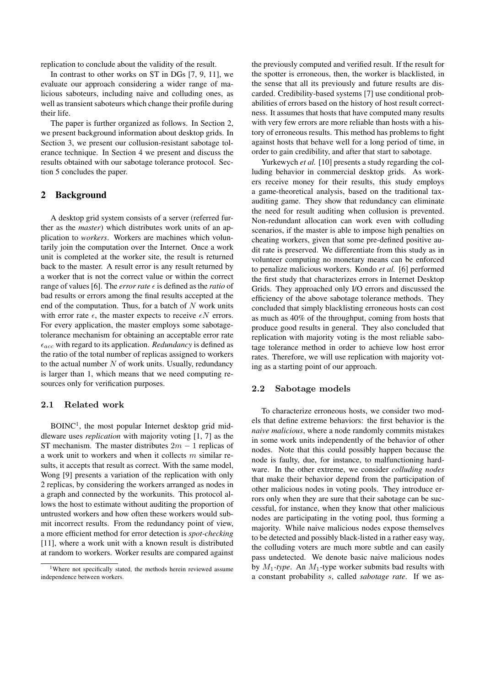replication to conclude about the validity of the result.

In contrast to other works on ST in DGs [7, 9, 11], we evaluate our approach considering a wider range of malicious saboteurs, including naive and colluding ones, as well as transient saboteurs which change their profile during their life.

The paper is further organized as follows. In Section 2, we present background information about desktop grids. In Section 3, we present our collusion-resistant sabotage tolerance technique. In Section 4 we present and discuss the results obtained with our sabotage tolerance protocol. Section 5 concludes the paper.

# **2 Background**

A desktop grid system consists of a server (referred further as the *master*) which distributes work units of an application to *workers*. Workers are machines which voluntarily join the computation over the Internet. Once a work unit is completed at the worker site, the result is returned back to the master. A result error is any result returned by a worker that is not the correct value or within the correct range of values [6]. The *error rate*  $\epsilon$  is defined as the *ratio* of bad results or errors among the final results accepted at the end of the computation. Thus, for a batch of  $N$  work units with error rate  $\epsilon$ , the master expects to receive  $\epsilon N$  errors. For every application, the master employs some sabotagetolerance mechanism for obtaining an acceptable error rate  $\epsilon_{acc}$  with regard to its application. *Redundancy* is defined as the ratio of the total number of replicas assigned to workers to the actual number  $N$  of work units. Usually, redundancy is larger than 1, which means that we need computing resources only for verification purposes.

#### **2.1 Related work**

 $BONC<sup>1</sup>$ , the most popular Internet desktop grid middleware uses *replication* with majority voting [1, 7] as the ST mechanism. The master distributes  $2m - 1$  replicas of a work unit to workers and when it collects m similar results, it accepts that result as correct. With the same model, Wong [9] presents a variation of the replication with only 2 replicas, by considering the workers arranged as nodes in a graph and connected by the workunits. This protocol allows the host to estimate without auditing the proportion of untrusted workers and how often these workers would submit incorrect results. From the redundancy point of view, a more efficient method for error detection is *spot-checking* [11], where a work unit with a known result is distributed at random to workers. Worker results are compared against the previously computed and verified result. If the result for the spotter is erroneous, then, the worker is blacklisted, in the sense that all its previously and future results are discarded. Credibility-based systems [7] use conditional probabilities of errors based on the history of host result correctness. It assumes that hosts that have computed many results with very few errors are more reliable than hosts with a history of erroneous results. This method has problems to fight against hosts that behave well for a long period of time, in order to gain credibility, and after that start to sabotage.

Yurkewych *et al.* [10] presents a study regarding the colluding behavior in commercial desktop grids. As workers receive money for their results, this study employs a game-theoretical analysis, based on the traditional taxauditing game. They show that redundancy can eliminate the need for result auditing when collusion is prevented. Non-redundant allocation can work even with colluding scenarios, if the master is able to impose high penalties on cheating workers, given that some pre-defined positive audit rate is preserved. We differentiate from this study as in volunteer computing no monetary means can be enforced to penalize malicious workers. Kondo *et al.* [6] performed the first study that characterizes errors in Internet Desktop Grids. They approached only I/O errors and discussed the efficiency of the above sabotage tolerance methods. They concluded that simply blacklisting erroneous hosts can cost as much as 40% of the throughput, coming from hosts that produce good results in general. They also concluded that replication with majority voting is the most reliable sabotage tolerance method in order to achieve low host error rates. Therefore, we will use replication with majority voting as a starting point of our approach.

## **2.2 Sabotage models**

To characterize erroneous hosts, we consider two models that define extreme behaviors: the first behavior is the *naive malicious*, where a node randomly commits mistakes in some work units independently of the behavior of other nodes. Note that this could possibly happen because the node is faulty, due, for instance, to malfunctioning hardware. In the other extreme, we consider *colluding nodes* that make their behavior depend from the participation of other malicious nodes in voting pools. They introduce errors only when they are sure that their sabotage can be successful, for instance, when they know that other malicious nodes are participating in the voting pool, thus forming a majority. While naive malicious nodes expose themselves to be detected and possibly black-listed in a rather easy way, the colluding voters are much more subtle and can easily pass undetected. We denote basic naive malicious nodes by M1*-type*. An M1-type worker submits bad results with a constant probability s, called *sabotage rate*. If we as-

<sup>&</sup>lt;sup>1</sup>Where not specifically stated, the methods herein reviewed assume independence between workers.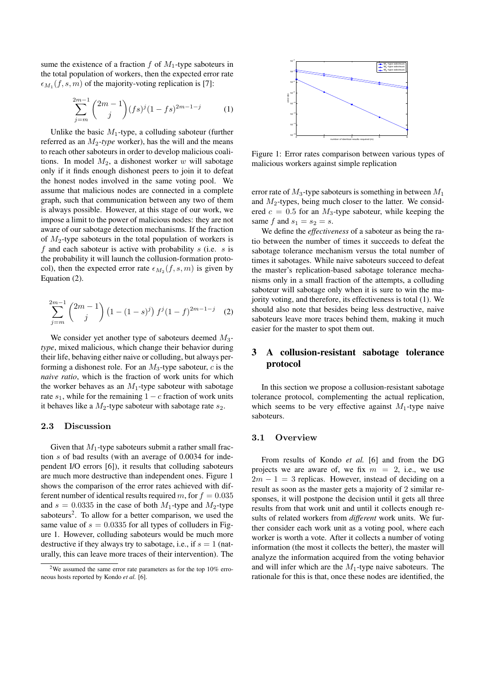sume the existence of a fraction  $f$  of  $M_1$ -type saboteurs in the total population of workers, then the expected error rate  $\epsilon_{M_1}(f, s, m)$  of the majority-voting replication is [7]:

$$
\sum_{j=m}^{2m-1} {2m-1 \choose j} (fs)^j (1 - fs)^{2m-1-j} \tag{1}
$$

Unlike the basic  $M_1$ -type, a colluding saboteur (further referred as an  $M_2$ -type worker), has the will and the means to reach other saboteurs in order to develop malicious coalitions. In model  $M_2$ , a dishonest worker w will sabotage only if it finds enough dishonest peers to join it to defeat the honest nodes involved in the same voting pool. We assume that malicious nodes are connected in a complete graph, such that communication between any two of them is always possible. However, at this stage of our work, we impose a limit to the power of malicious nodes: they are not aware of our sabotage detection mechanisms. If the fraction of  $M_2$ -type saboteurs in the total population of workers is f and each saboteur is active with probability  $s$  (i.e.  $s$  is the probability it will launch the collusion-formation protocol), then the expected error rate  $\epsilon_{M_2}(f, s, m)$  is given by Equation (2).

$$
\sum_{j=m}^{2m-1} {2m-1 \choose j} \left(1 - (1-s)^j\right) f^j (1-f)^{2m-1-j} \quad (2)
$$

We consider yet another type of saboteurs deemed  $M_3$ *type*, mixed malicious, which change their behavior during their life, behaving either naive or colluding, but always performing a dishonest role. For an  $M_3$ -type saboteur, c is the *naive ratio*, which is the fraction of work units for which the worker behaves as an  $M_1$ -type saboteur with sabotage rate  $s_1$ , while for the remaining  $1 - c$  fraction of work units it behaves like a  $M_2$ -type saboteur with sabotage rate  $s_2$ .

#### **2.3 Discussion**

Given that  $M_1$ -type saboteurs submit a rather small fraction s of bad results (with an average of 0.0034 for independent I/O errors [6]), it results that colluding saboteurs are much more destructive than independent ones. Figure 1 shows the comparison of the error rates achieved with different number of identical results required m, for  $f = 0.035$ and  $s = 0.0335$  in the case of both  $M_1$ -type and  $M_2$ -type saboteurs<sup>2</sup>. To allow for a better comparison, we used the same value of  $s = 0.0335$  for all types of colluders in Figure 1. However, colluding saboteurs would be much more destructive if they always try to sabotage, i.e., if  $s = 1$  (naturally, this can leave more traces of their intervention). The



Figure 1: Error rates comparison between various types of malicious workers against simple replication

error rate of  $M_3$ -type saboteurs is something in between  $M_1$ and  $M_2$ -types, being much closer to the latter. We considered  $c = 0.5$  for an  $M_3$ -type saboteur, while keeping the same f and  $s_1 = s_2 = s$ .

We define the *effectiveness* of a saboteur as being the ratio between the number of times it succeeds to defeat the sabotage tolerance mechanism versus the total number of times it sabotages. While naive saboteurs succeed to defeat the master's replication-based sabotage tolerance mechanisms only in a small fraction of the attempts, a colluding saboteur will sabotage only when it is sure to win the majority voting, and therefore, its effectiveness is total (1). We should also note that besides being less destructive, naive saboteurs leave more traces behind them, making it much easier for the master to spot them out.

# **3 A collusion-resistant sabotage tolerance protocol**

In this section we propose a collusion-resistant sabotage tolerance protocol, complementing the actual replication, which seems to be very effective against  $M_1$ -type naive saboteurs.

## **3.1 Overview**

From results of Kondo *et al.* [6] and from the DG projects we are aware of, we fix  $m = 2$ , i.e., we use  $2m - 1 = 3$  replicas. However, instead of deciding on a result as soon as the master gets a majority of 2 similar responses, it will postpone the decision until it gets all three results from that work unit and until it collects enough results of related workers from *different* work units. We further consider each work unit as a voting pool, where each worker is worth a vote. After it collects a number of voting information (the most it collects the better), the master will analyze the information acquired from the voting behavior and will infer which are the  $M_1$ -type naive saboteurs. The rationale for this is that, once these nodes are identified, the

<sup>&</sup>lt;sup>2</sup>We assumed the same error rate parameters as for the top  $10\%$  erroneous hosts reported by Kondo *et al.* [6].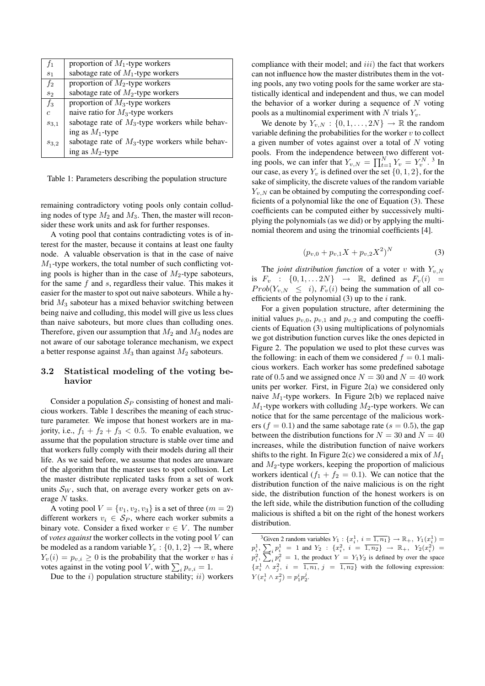|            | proportion of $M_1$ -type workers                 |
|------------|---------------------------------------------------|
| $s_1$      | sabotage rate of $M_1$ -type workers              |
| $f_2$      | proportion of $M_2$ -type workers                 |
| $s_2$      | sabotage rate of $M_2$ -type workers              |
| $f_3$      | proportion of $M_3$ -type workers                 |
| $\epsilon$ | naive ratio for $M_3$ -type workers               |
| $s_{3,1}$  | sabotage rate of $M_3$ -type workers while behav- |
|            | ing as $M_1$ -type                                |
| $s_{3,2}$  | sabotage rate of $M_3$ -type workers while behav- |
|            | ing as $M_2$ -type                                |

Table 1: Parameters describing the population structure

remaining contradictory voting pools only contain colluding nodes of type  $M_2$  and  $M_3$ . Then, the master will reconsider these work units and ask for further responses.

A voting pool that contains contradicting votes is of interest for the master, because it contains at least one faulty node. A valuable observation is that in the case of naive  $M_1$ -type workers, the total number of such conflicting voting pools is higher than in the case of  $M_2$ -type saboteurs, for the same f and s, regardless their value. This makes it easier for the master to spot out naive saboteurs. While a hybrid  $M_3$  saboteur has a mixed behavior switching between being naive and colluding, this model will give us less clues than naive saboteurs, but more clues than colluding ones. Therefore, given our assumption that  $M_2$  and  $M_3$  nodes are not aware of our sabotage tolerance mechanism, we expect a better response against  $M_3$  than against  $M_2$  saboteurs.

## **3.2 Statistical modeling of the voting behavior**

Consider a population  $S_P$  consisting of honest and malicious workers. Table 1 describes the meaning of each structure parameter. We impose that honest workers are in majority, i.e.,  $f_1 + f_2 + f_3 < 0.5$ . To enable evaluation, we assume that the population structure is stable over time and that workers fully comply with their models during all their life. As we said before, we assume that nodes are unaware of the algorithm that the master uses to spot collusion. Let the master distribute replicated tasks from a set of work units  $S_W$ , such that, on average every worker gets on average N tasks.

A voting pool  $V = \{v_1, v_2, v_3\}$  is a set of three  $(m = 2)$ different workers  $v_i \in S_P$ , where each worker submits a binary vote. Consider a fixed worker  $v \in V$ . The number of *votes against* the worker collects in the voting pool V can be modeled as a random variable  $Y_v : \{0, 1, 2\} \to \mathbb{R}$ , where  $Y_v(i) = p_{v,i} \ge 0$  is the probability that the worker v has i votes against in the voting pool V, with  $\sum_i p_{v,i} = 1$ .<br>Due to the *i*) population structure stability: *ii*) w

Due to the  $i)$  population structure stability;  $ii)$  workers

compliance with their model; and  $iii$ ) the fact that workers can not influence how the master distributes them in the voting pools, any two voting pools for the same worker are statistically identical and independent and thus, we can model the behavior of a worker during a sequence of  $N$  voting pools as a multinomial experiment with  $N$  trials  $Y_v$ .

We denote by  $Y_{v,N} : \{0,1,\ldots,2N\} \to \mathbb{R}$  the random variable defining the probabilities for the worker  $v$  to collect a given number of votes against over a total of  $N$  voting pools. From the independence between two different voting pools, we can infer that  $Y_{v,N} = \prod_{t=1}^{N} Y_v = Y_v^N$ .<sup>3</sup> In our case, as every  $Y_v$  is defined over the set  $\{0, 1, 2\}$ , for the sake of simplicity, the discrete values of the random variable  $Y_{v,N}$  can be obtained by computing the corresponding coef-<br>figures of a polynomial like the angle  $\Gamma$  counting (2). These ficients of a polynomial like the one of Equation (3). These coefficients can be computed either by successively multiplying the polynomials (as we did) or by applying the multinomial theorem and using the trinomial coefficients [4].

$$
(p_{v,0} + p_{v,1}X + p_{v,2}X^2)^N
$$
 (3)

The *joint distribution function* of a voter v with  $Y_{v,N}$ is  $F_v$  :  $\{0, 1, \ldots 2N\}$   $\rightarrow \mathbb{R}$ , defined as  $F_v(i) =$  $Prob(Y_{v,N} \leq i)$ ,  $F_v(i)$  being the summation of all coefficients of the polynomial  $(3)$  up to the *i* rank.

For a given population structure, after determining the initial values  $p_{v,0}$ ,  $p_{v,1}$  and  $p_{v,2}$  and computing the coefficients of Equation (3) using multiplications of polynomials we got distribution function curves like the ones depicted in Figure 2. The population we used to plot these curves was the following: in each of them we considered  $f = 0.1$  malicious workers. Each worker has some predefined sabotage rate of 0.5 and we assigned once  $N = 30$  and  $N = 40$  work units per worker. First, in Figure 2(a) we considered only naive  $M_1$ -type workers. In Figure 2(b) we replaced naive  $M_1$ -type workers with colluding  $M_2$ -type workers. We can notice that for the same percentage of the malicious workers ( $f = 0.1$ ) and the same sabotage rate ( $s = 0.5$ ), the gap between the distribution functions for  $N = 30$  and  $N = 40$ increases, while the distribution function of naive workers shifts to the right. In Figure 2(c) we considered a mix of  $M_1$ and  $M_2$ -type workers, keeping the proportion of malicious workers identical  $(f_1 + f_2 = 0.1)$ . We can notice that the distribution function of the naive malicious is on the right side, the distribution function of the honest workers is on the left side, while the distribution function of the colluding malicious is shifted a bit on the right of the honest workers distribution.

<sup>&</sup>lt;sup>3</sup>Given 2 random variables  $Y_1$  :  $\{x_i^1, i = \overline{1, n_1}\} \to \mathbb{R}_+$ ,  $Y_1(x_i^1) =$  $p_i^1, \sum_i p_i^1 = 1$  and  $Y_2$  :  $\{x_i^2, i = \overline{1, n_2}\} \rightarrow \mathbb{R}_+, Y_2(x_i^2) =$  $p_i^2$ ,  $\sum_i p_i^2 = 1$ , the product  $Y = Y_1 Y_2$  is defined by over the space  ${x_i^1 \wedge x_j^2, i = \overline{1, n_1}, j = \overline{1, n_2} }$  with the following expression:  $Y(x_i^1 \wedge x_j^2) = p_1^i p_2^j.$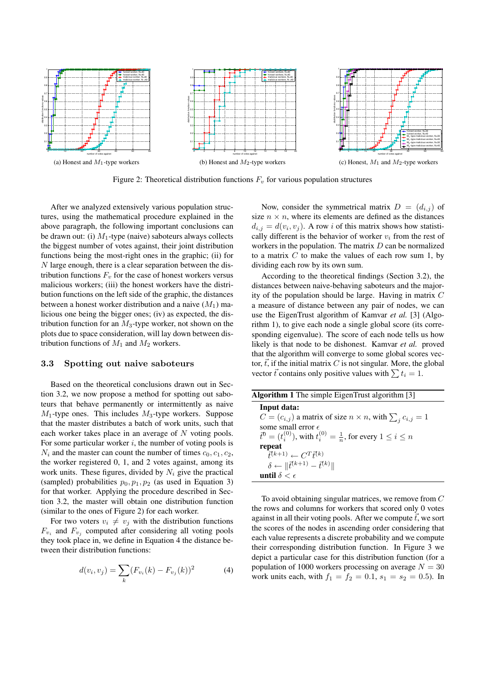

Figure 2: Theoretical distribution functions  $F<sub>v</sub>$  for various population structures

After we analyzed extensively various population structures, using the mathematical procedure explained in the above paragraph, the following important conclusions can be drawn out: (i)  $M_1$ -type (naive) saboteurs always collects the biggest number of votes against, their joint distribution functions being the most-right ones in the graphic; (ii) for N large enough, there is a clear separation between the distribution functions  $F_v$  for the case of honest workers versus malicious workers; (iii) the honest workers have the distribution functions on the left side of the graphic, the distances between a honest worker distribution and a naive  $(M_1)$  malicious one being the bigger ones; (iv) as expected, the distribution function for an  $M_3$ -type worker, not shown on the plots due to space consideration, will lay down between distribution functions of  $M_1$  and  $M_2$  workers.

#### **3.3 Spotting out naive saboteurs**

Based on the theoretical conclusions drawn out in Section 3.2, we now propose a method for spotting out saboteurs that behave permanently or intermittently as naive  $M_1$ -type ones. This includes  $M_3$ -type workers. Suppose that the master distributes a batch of work units, such that each worker takes place in an average of N voting pools. For some particular worker  $i$ , the number of voting pools is  $N_i$  and the master can count the number of times  $c_0, c_1, c_2$ ,<br>the worker resistance 0, 1, and 2, yetse equipst empire its the worker registered 0, 1, and 2 votes against, among its work units. These figures, divided by <sup>N</sup>*i* give the practical (sampled) probabilities  $p_0, p_1, p_2$  (as used in Equation 3) for that worker. Applying the procedure described in Section 3.2, the master will obtain one distribution function (similar to the ones of Figure 2) for each worker.

For two voters  $v_i \neq v_j$  with the distribution functions  $F_{v_i}$  and  $F_{v_j}$  computed after considering all voting pools<br>that took place in we define in Faustion 4 the distance has they took place in, we define in Equation 4 the distance between their distribution functions:

$$
d(v_i, v_j) = \sum_k (F_{v_i}(k) - F_{v_j}(k))^2
$$
 (4)

Now, consider the symmetrical matrix  $D = (d_{i,j})$  of size  $n \times n$ , where its elements are defined as the distances  $d_{i,j} = d(v_i, v_j)$ . A row i of this matrix shows how statisti-<br>cally different is the haborier of worker  $u$ , from the ract of cally different is the behavior of worker  $v_i$  from the rest of workers in the population. The matrix  $D$  can be normalized to a matrix  $C$  to make the values of each row sum 1, by dividing each row by its own sum.

According to the theoretical findings (Section 3.2), the distances between naive-behaving saboteurs and the majority of the population should be large. Having in matrix C a measure of distance between any pair of nodes, we can use the EigenTrust algorithm of Kamvar *et al.* [3] (Algorithm 1), to give each node a single global score (its corresponding eigenvalue). The score of each node tells us how likely is that node to be dishonest. Kamvar *et al.* proved that the algorithm will converge to some global scores vector,  $\vec{t}$ , if the initial matrix C is not singular. More, the global vector  $\vec{t}$  contains only positive values with  $\sum t_i = 1$ .

| <b>Algorithm 1</b> The simple EigenTrust algorithm [3]                                 |  |  |
|----------------------------------------------------------------------------------------|--|--|
| Input data:                                                                            |  |  |
| $C = (c_{i,j})$ a matrix of size $n \times n$ , with $\sum_i c_{i,j} = 1$              |  |  |
| some small error $\epsilon$                                                            |  |  |
| $\bar{t}^0 = (t_i^{(0)})$ , with $t_i^{(0)} = \frac{1}{n}$ , for every $1 \le i \le n$ |  |  |
| repeat                                                                                 |  |  |
| $\vec{t}^{(k+1)} \leftarrow C^T \vec{t}^{(k)}$                                         |  |  |
| $\delta \leftarrow \ \vec{t}^{(k+1)} - \vec{t}^{(k)}\ $                                |  |  |
| until $\delta < \epsilon$                                                              |  |  |

To avoid obtaining singular matrices, we remove from C the rows and columns for workers that scored only 0 votes against in all their voting pools. After we compute  $\vec{t}$ , we sort the scores of the nodes in ascending order considering that each value represents a discrete probability and we compute their corresponding distribution function. In Figure 3 we depict a particular case for this distribution function (for a population of 1000 workers processing on average  $N = 30$ work units each, with  $f_1 = f_2 = 0.1$ ,  $s_1 = s_2 = 0.5$ ). In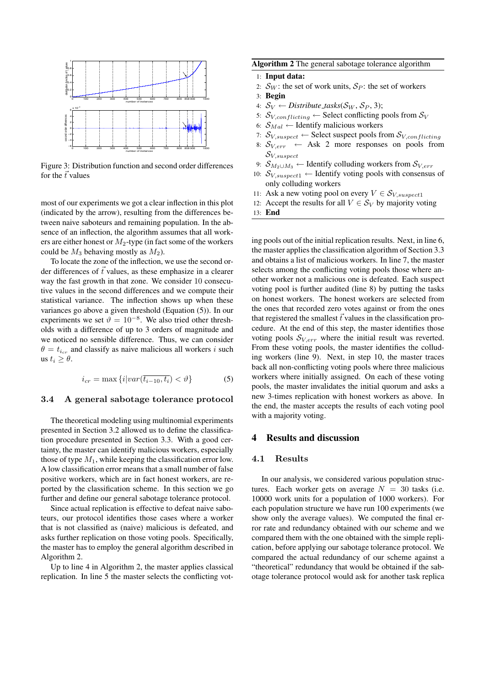

Figure 3: Distribution function and second order differences for the  $\vec{t}$  values

most of our experiments we got a clear inflection in this plot (indicated by the arrow), resulting from the differences between naive saboteurs and remaining population. In the absence of an inflection, the algorithm assumes that all workers are either honest or  $M_2$ -type (in fact some of the workers could be  $M_3$  behaving mostly as  $M_2$ ).

To locate the zone of the inflection, we use the second order differences of  $\vec{t}$  values, as these emphasize in a clearer way the fast growth in that zone. We consider 10 consecutive values in the second differences and we compute their statistical variance. The inflection shows up when these variances go above a given threshold (Equation (5)). In our experiments we set  $\vartheta = 10^{-8}$ . We also tried other thresholds with a difference of up to 3 orders of magnitude and we noticed no sensible difference. Thus, we can consider  $\theta = t_{i_{cr}}$  and classify as naive malicious all workers i such us  $t_i \geq \theta$ .

$$
i_{cr} = \max\left\{i|var(\overline{t_{i-10}, t_i}) < \vartheta\right\} \tag{5}
$$

#### **3.4 A general sabotage tolerance protocol**

The theoretical modeling using multinomial experiments presented in Section 3.2 allowed us to define the classification procedure presented in Section 3.3. With a good certainty, the master can identify malicious workers, especially those of type  $M_1$ , while keeping the classification error low. A low classification error means that a small number of false positive workers, which are in fact honest workers, are reported by the classification scheme. In this section we go further and define our general sabotage tolerance protocol.

Since actual replication is effective to defeat naive saboteurs, our protocol identifies those cases where a worker that is not classified as (naive) malicious is defeated, and asks further replication on those voting pools. Specifically, the master has to employ the general algorithm described in Algorithm 2.

Up to line 4 in Algorithm 2, the master applies classical replication. In line 5 the master selects the conflicting vot**Algorithm 2** The general sabotage tolerance algorithm

## 1: **Input data:**

- 2:  $S_W$ : the set of work units,  $S_P$ : the set of workers
- 3: **Begin**
- 4:  $S_V \leftarrow$  *Distribute\_tasks*( $S_W$ ,  $S_P$ , 3);
- 5:  $S_{V,conflicing} \leftarrow$  Select conflicting pools from  $S_V$
- 6:  $S_{Mal} \leftarrow$  Identify malicious workers
- 7:  $S_{V,suspect} \leftarrow$  Select suspect pools from  $S_{V,conflicting}$
- 8:  $S_{V,err}$  ← Ask 2 more responses on pools from <sup>S</sup>*V,suspect*
- 9: <sup>S</sup>*M*2∪*M*<sup>3</sup> <sup>←</sup> Identify colluding workers from <sup>S</sup>*V,err*
- 10:  $S_{V,suspect1} \leftarrow$  Identify voting pools with consensus of only colluding workers
- 11: Ask a new voting pool on every  $V \in S_{V, suspect1}$
- 12: Accept the results for all  $V \in S_V$  by majority voting
- 13: **End**

ing pools out of the initial replication results. Next, in line 6, the master applies the classification algorithm of Section 3.3 and obtains a list of malicious workers. In line 7, the master selects among the conflicting voting pools those where another worker not a malicious one is defeated. Each suspect voting pool is further audited (line 8) by putting the tasks on honest workers. The honest workers are selected from the ones that recorded zero votes against or from the ones that registered the smallest  $\vec{t}$  values in the classification procedure. At the end of this step, the master identifies those voting pools  $S_{V,err}$  where the initial result was reverted. From these voting pools, the master identifies the colluding workers (line 9). Next, in step 10, the master traces back all non-conflicting voting pools where three malicious workers where initially assigned. On each of these voting pools, the master invalidates the initial quorum and asks a new 3-times replication with honest workers as above. In the end, the master accepts the results of each voting pool with a majority voting.

## **4 Results and discussion**

#### **4.1 Results**

In our analysis, we considered various population structures. Each worker gets on average  $N = 30$  tasks (i.e. 10000 work units for a population of 1000 workers). For each population structure we have run 100 experiments (we show only the average values). We computed the final error rate and redundancy obtained with our scheme and we compared them with the one obtained with the simple replication, before applying our sabotage tolerance protocol. We compared the actual redundancy of our scheme against a "theoretical" redundancy that would be obtained if the sabotage tolerance protocol would ask for another task replica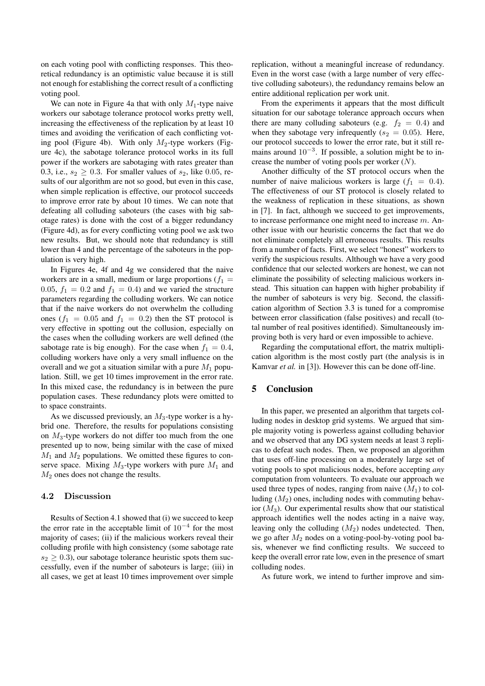on each voting pool with conflicting responses. This theoretical redundancy is an optimistic value because it is still not enough for establishing the correct result of a conflicting voting pool.

We can note in Figure 4a that with only  $M_1$ -type naive workers our sabotage tolerance protocol works pretty well, increasing the effectiveness of the replication by at least 10 times and avoiding the verification of each conflicting voting pool (Figure 4b). With only  $M_2$ -type workers (Figure 4c), the sabotage tolerance protocol works in its full power if the workers are sabotaging with rates greater than 0.3, i.e.,  $s_2 \geq 0.3$ . For smaller values of  $s_2$ , like 0.05, results of our algorithm are not so good, but even in this case, when simple replication is effective, our protocol succeeds to improve error rate by about 10 times. We can note that defeating all colluding saboteurs (the cases with big sabotage rates) is done with the cost of a bigger redundancy (Figure 4d), as for every conflicting voting pool we ask two new results. But, we should note that redundancy is still lower than 4 and the percentage of the saboteurs in the population is very high.

In Figures 4e, 4f and 4g we considered that the naive workers are in a small, medium or large proportions ( $f_1$  = 0.05,  $f_1 = 0.2$  and  $f_1 = 0.4$ ) and we varied the structure parameters regarding the colluding workers. We can notice that if the naive workers do not overwhelm the colluding ones ( $f_1 = 0.05$  and  $f_1 = 0.2$ ) then the ST protocol is very effective in spotting out the collusion, especially on the cases when the colluding workers are well defined (the sabotage rate is big enough). For the case when  $f_1 = 0.4$ , colluding workers have only a very small influence on the overall and we got a situation similar with a pure  $M_1$  population. Still, we get 10 times improvement in the error rate. In this mixed case, the redundancy is in between the pure population cases. These redundancy plots were omitted to to space constraints.

As we discussed previously, an  $M_3$ -type worker is a hybrid one. Therefore, the results for populations consisting on  $M_3$ -type workers do not differ too much from the one presented up to now, being similar with the case of mixed  $M_1$  and  $M_2$  populations. We omitted these figures to conserve space. Mixing  $M_3$ -type workers with pure  $M_1$  and  $M_2$  ones does not change the results.

### **4.2 Discussion**

Results of Section 4.1 showed that (i) we succeed to keep the error rate in the acceptable limit of  $10^{-4}$  for the most majority of cases; (ii) if the malicious workers reveal their colluding profile with high consistency (some sabotage rate  $s_2 \geq 0.3$ ), our sabotage tolerance heuristic spots them successfully, even if the number of saboteurs is large; (iii) in all cases, we get at least 10 times improvement over simple replication, without a meaningful increase of redundancy. Even in the worst case (with a large number of very effective colluding saboteurs), the redundancy remains below an entire additional replication per work unit.

From the experiments it appears that the most difficult situation for our sabotage tolerance approach occurs when there are many colluding saboteurs (e.g.  $f_2 = 0.4$ ) and when they sabotage very infrequently  $(s_2 = 0.05)$ . Here, our protocol succeeds to lower the error rate, but it still remains around  $10^{-3}$ . If possible, a solution might be to increase the number of voting pools per worker  $(N)$ .

Another difficulty of the ST protocol occurs when the number of naive malicious workers is large  $(f_1 = 0.4)$ . The effectiveness of our ST protocol is closely related to the weakness of replication in these situations, as shown in [7]. In fact, although we succeed to get improvements, to increase performance one might need to increase m. Another issue with our heuristic concerns the fact that we do not eliminate completely all erroneous results. This results from a number of facts. First, we select "honest" workers to verify the suspicious results. Although we have a very good confidence that our selected workers are honest, we can not eliminate the possibility of selecting malicious workers instead. This situation can happen with higher probability if the number of saboteurs is very big. Second, the classification algorithm of Section 3.3 is tuned for a compromise between error classification (false positives) and recall (total number of real positives identified). Simultaneously improving both is very hard or even impossible to achieve.

Regarding the computational effort, the matrix multiplication algorithm is the most costly part (the analysis is in Kamvar *et al.* in [3]). However this can be done off-line.

### **5 Conclusion**

In this paper, we presented an algorithm that targets colluding nodes in desktop grid systems. We argued that simple majority voting is powerless against colluding behavior and we observed that any DG system needs at least 3 replicas to defeat such nodes. Then, we proposed an algorithm that uses off-line processing on a moderately large set of voting pools to spot malicious nodes, before accepting *any* computation from volunteers. To evaluate our approach we used three types of nodes, ranging from naive  $(M_1)$  to colluding  $(M_2)$  ones, including nodes with commuting behavior  $(M_3)$ . Our experimental results show that our statistical approach identifies well the nodes acting in a naive way, leaving only the colluding  $(M_2)$  nodes undetected. Then, we go after  $M_2$  nodes on a voting-pool-by-voting pool basis, whenever we find conflicting results. We succeed to keep the overall error rate low, even in the presence of smart colluding nodes.

As future work, we intend to further improve and sim-